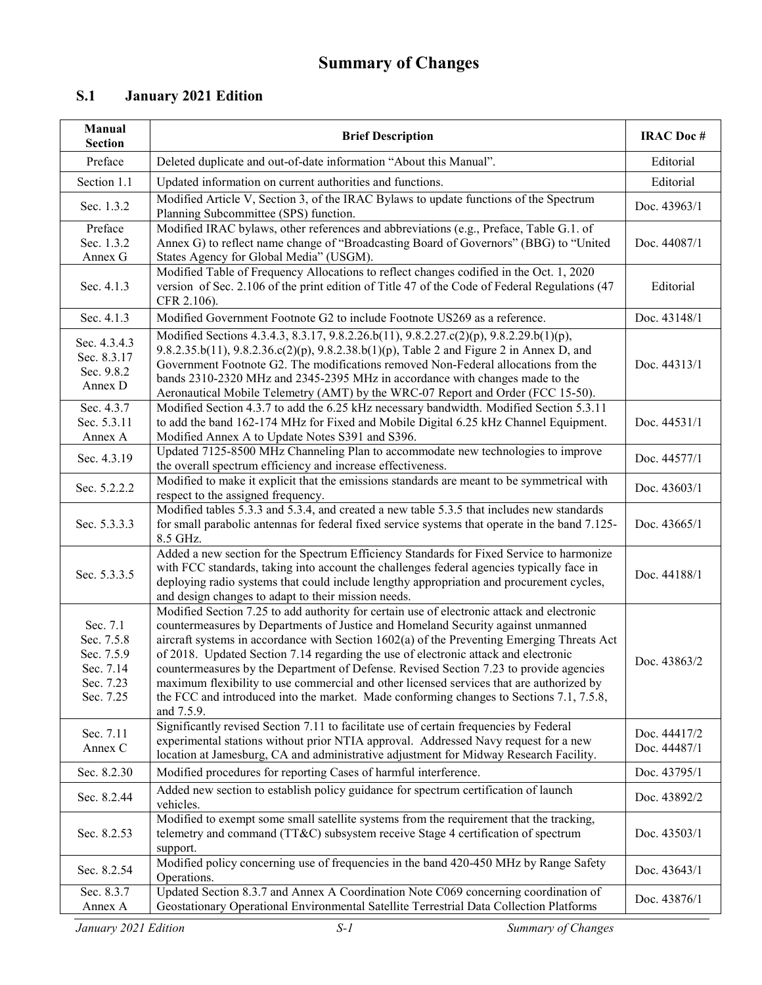## **Summary of Changes**

## **S.1 January 2021 Edition**

| Manual<br><b>Section</b>                                                    | <b>Brief Description</b>                                                                                                                                                                                                                                                                                                                                                                                                                                                                                                                                                                                                                                           | <b>IRAC Doc#</b>             |
|-----------------------------------------------------------------------------|--------------------------------------------------------------------------------------------------------------------------------------------------------------------------------------------------------------------------------------------------------------------------------------------------------------------------------------------------------------------------------------------------------------------------------------------------------------------------------------------------------------------------------------------------------------------------------------------------------------------------------------------------------------------|------------------------------|
| Preface                                                                     | Deleted duplicate and out-of-date information "About this Manual".                                                                                                                                                                                                                                                                                                                                                                                                                                                                                                                                                                                                 | Editorial                    |
| Section 1.1                                                                 | Updated information on current authorities and functions.                                                                                                                                                                                                                                                                                                                                                                                                                                                                                                                                                                                                          | Editorial                    |
| Sec. 1.3.2                                                                  | Modified Article V, Section 3, of the IRAC Bylaws to update functions of the Spectrum<br>Planning Subcommittee (SPS) function.                                                                                                                                                                                                                                                                                                                                                                                                                                                                                                                                     | Doc. 43963/1                 |
| Preface<br>Sec. 1.3.2<br>Annex G                                            | Modified IRAC bylaws, other references and abbreviations (e.g., Preface, Table G.1. of<br>Annex G) to reflect name change of "Broadcasting Board of Governors" (BBG) to "United<br>States Agency for Global Media" (USGM).                                                                                                                                                                                                                                                                                                                                                                                                                                         | Doc. 44087/1                 |
| Sec. 4.1.3                                                                  | Modified Table of Frequency Allocations to reflect changes codified in the Oct. 1, 2020<br>version of Sec. 2.106 of the print edition of Title 47 of the Code of Federal Regulations (47<br>CFR 2.106).                                                                                                                                                                                                                                                                                                                                                                                                                                                            | Editorial                    |
| Sec. 4.1.3                                                                  | Modified Government Footnote G2 to include Footnote US269 as a reference.                                                                                                                                                                                                                                                                                                                                                                                                                                                                                                                                                                                          | Doc. 43148/1                 |
| Sec. 4.3.4.3<br>Sec. 8.3.17<br>Sec. 9.8.2<br>Annex D                        | Modified Sections 4.3.4.3, 8.3.17, 9.8.2.26.b(11), 9.8.2.27.c(2)(p), 9.8.2.29.b(1)(p),<br>9.8.2.35.b(11), 9.8.2.36.c(2)(p), 9.8.2.38.b(1)(p), Table 2 and Figure 2 in Annex D, and<br>Government Footnote G2. The modifications removed Non-Federal allocations from the<br>bands 2310-2320 MHz and 2345-2395 MHz in accordance with changes made to the<br>Aeronautical Mobile Telemetry (AMT) by the WRC-07 Report and Order (FCC 15-50).                                                                                                                                                                                                                        | Doc. 44313/1                 |
| Sec. 4.3.7<br>Sec. 5.3.11<br>Annex A                                        | Modified Section 4.3.7 to add the 6.25 kHz necessary bandwidth. Modified Section 5.3.11<br>to add the band 162-174 MHz for Fixed and Mobile Digital 6.25 kHz Channel Equipment.<br>Modified Annex A to Update Notes S391 and S396.                                                                                                                                                                                                                                                                                                                                                                                                                                 | Doc. 44531/1                 |
| Sec. 4.3.19                                                                 | Updated 7125-8500 MHz Channeling Plan to accommodate new technologies to improve<br>the overall spectrum efficiency and increase effectiveness.                                                                                                                                                                                                                                                                                                                                                                                                                                                                                                                    | Doc. 44577/1                 |
| Sec. 5.2.2.2                                                                | Modified to make it explicit that the emissions standards are meant to be symmetrical with<br>respect to the assigned frequency.                                                                                                                                                                                                                                                                                                                                                                                                                                                                                                                                   | Doc. 43603/1                 |
| Sec. 5.3.3.3                                                                | Modified tables 5.3.3 and 5.3.4, and created a new table 5.3.5 that includes new standards<br>for small parabolic antennas for federal fixed service systems that operate in the band 7.125-<br>8.5 GHz.                                                                                                                                                                                                                                                                                                                                                                                                                                                           | Doc. 43665/1                 |
| Sec. 5.3.3.5                                                                | Added a new section for the Spectrum Efficiency Standards for Fixed Service to harmonize<br>with FCC standards, taking into account the challenges federal agencies typically face in<br>deploying radio systems that could include lengthy appropriation and procurement cycles,<br>and design changes to adapt to their mission needs.                                                                                                                                                                                                                                                                                                                           | Doc. 44188/1                 |
| Sec. 7.1<br>Sec. 7.5.8<br>Sec. 7.5.9<br>Sec. 7.14<br>Sec. 7.23<br>Sec. 7.25 | Modified Section 7.25 to add authority for certain use of electronic attack and electronic<br>countermeasures by Departments of Justice and Homeland Security against unmanned<br>aircraft systems in accordance with Section 1602(a) of the Preventing Emerging Threats Act<br>of 2018. Updated Section 7.14 regarding the use of electronic attack and electronic<br>countermeasures by the Department of Defense. Revised Section 7.23 to provide agencies<br>maximum flexibility to use commercial and other licensed services that are authorized by<br>the FCC and introduced into the market. Made conforming changes to Sections 7.1, 7.5.8,<br>and 7.5.9. | Doc. 43863/2                 |
| Sec. 7.11<br>Annex C                                                        | Significantly revised Section 7.11 to facilitate use of certain frequencies by Federal<br>experimental stations without prior NTIA approval. Addressed Navy request for a new<br>location at Jamesburg, CA and administrative adjustment for Midway Research Facility.                                                                                                                                                                                                                                                                                                                                                                                             | Doc. 44417/2<br>Doc. 44487/1 |
| Sec. 8.2.30                                                                 | Modified procedures for reporting Cases of harmful interference.                                                                                                                                                                                                                                                                                                                                                                                                                                                                                                                                                                                                   | Doc. 43795/1                 |
| Sec. 8.2.44                                                                 | Added new section to establish policy guidance for spectrum certification of launch<br>vehicles.                                                                                                                                                                                                                                                                                                                                                                                                                                                                                                                                                                   | Doc. 43892/2                 |
| Sec. 8.2.53                                                                 | Modified to exempt some small satellite systems from the requirement that the tracking,<br>telemetry and command (TT&C) subsystem receive Stage 4 certification of spectrum<br>support.                                                                                                                                                                                                                                                                                                                                                                                                                                                                            | Doc. 43503/1                 |
| Sec. 8.2.54                                                                 | Modified policy concerning use of frequencies in the band 420-450 MHz by Range Safety<br>Operations.                                                                                                                                                                                                                                                                                                                                                                                                                                                                                                                                                               | Doc. 43643/1                 |
| Sec. 8.3.7<br>Annex A                                                       | Updated Section 8.3.7 and Annex A Coordination Note C069 concerning coordination of<br>Geostationary Operational Environmental Satellite Terrestrial Data Collection Platforms                                                                                                                                                                                                                                                                                                                                                                                                                                                                                     | Doc. 43876/1                 |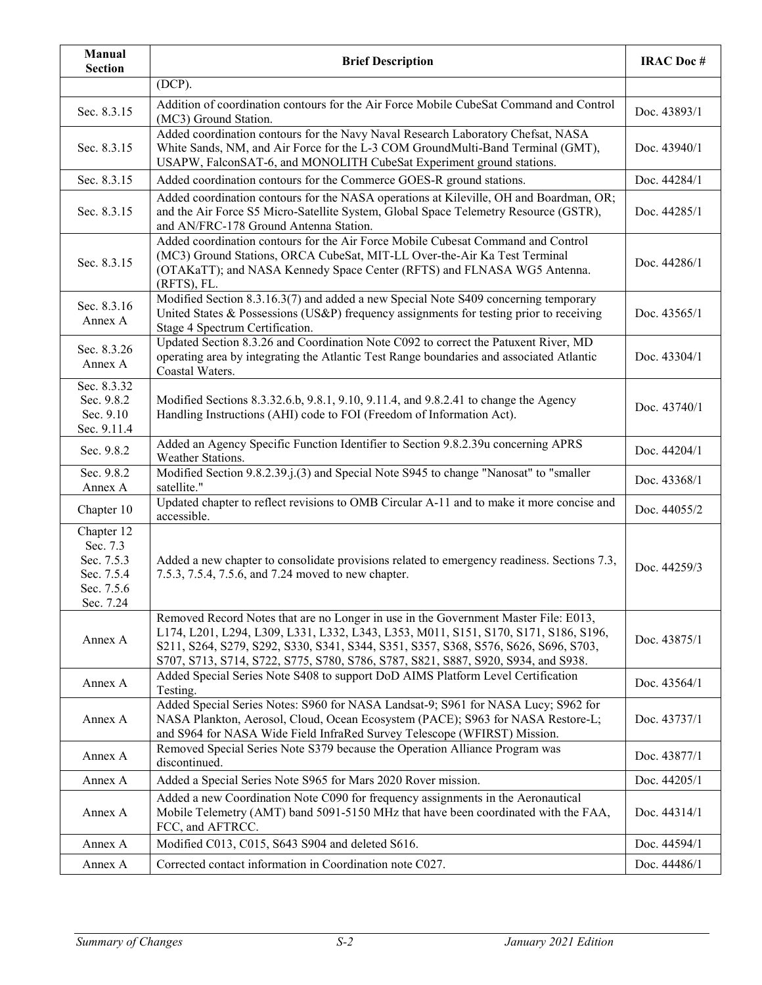| Manual<br><b>Section</b>                                                      | <b>Brief Description</b>                                                                                                                                                                                                                                                                                                                               | <b>IRAC</b> Doc# |
|-------------------------------------------------------------------------------|--------------------------------------------------------------------------------------------------------------------------------------------------------------------------------------------------------------------------------------------------------------------------------------------------------------------------------------------------------|------------------|
|                                                                               | $(DCP)$ .                                                                                                                                                                                                                                                                                                                                              |                  |
| Sec. 8.3.15                                                                   | Addition of coordination contours for the Air Force Mobile CubeSat Command and Control<br>(MC3) Ground Station.                                                                                                                                                                                                                                        | Doc. 43893/1     |
| Sec. 8.3.15                                                                   | Added coordination contours for the Navy Naval Research Laboratory Chefsat, NASA<br>White Sands, NM, and Air Force for the L-3 COM GroundMulti-Band Terminal (GMT),<br>USAPW, FalconSAT-6, and MONOLITH CubeSat Experiment ground stations.                                                                                                            | Doc. 43940/1     |
| Sec. 8.3.15                                                                   | Added coordination contours for the Commerce GOES-R ground stations.                                                                                                                                                                                                                                                                                   | Doc. 44284/1     |
| Sec. 8.3.15                                                                   | Added coordination contours for the NASA operations at Kileville, OH and Boardman, OR;<br>and the Air Force S5 Micro-Satellite System, Global Space Telemetry Resource (GSTR),<br>and AN/FRC-178 Ground Antenna Station.                                                                                                                               | Doc. 44285/1     |
| Sec. 8.3.15                                                                   | Added coordination contours for the Air Force Mobile Cubesat Command and Control<br>(MC3) Ground Stations, ORCA CubeSat, MIT-LL Over-the-Air Ka Test Terminal<br>(OTAKaTT); and NASA Kennedy Space Center (RFTS) and FLNASA WG5 Antenna.<br>(RFTS), FL.                                                                                                | Doc. 44286/1     |
| Sec. 8.3.16<br>Annex A                                                        | Modified Section 8.3.16.3(7) and added a new Special Note S409 concerning temporary<br>United States & Possessions (US&P) frequency assignments for testing prior to receiving<br>Stage 4 Spectrum Certification.                                                                                                                                      | Doc. 43565/1     |
| Sec. 8.3.26<br>Annex A                                                        | Updated Section 8.3.26 and Coordination Note C092 to correct the Patuxent River, MD<br>operating area by integrating the Atlantic Test Range boundaries and associated Atlantic<br>Coastal Waters.                                                                                                                                                     | Doc. 43304/1     |
| Sec. 8.3.32<br>Sec. 9.8.2<br>Sec. 9.10<br>Sec. 9.11.4                         | Modified Sections 8.3.32.6.b, 9.8.1, 9.10, 9.11.4, and 9.8.2.41 to change the Agency<br>Handling Instructions (AHI) code to FOI (Freedom of Information Act).                                                                                                                                                                                          | Doc. 43740/1     |
| Sec. 9.8.2                                                                    | Added an Agency Specific Function Identifier to Section 9.8.2.39u concerning APRS<br>Weather Stations.                                                                                                                                                                                                                                                 | Doc. 44204/1     |
| Sec. 9.8.2<br>Annex A                                                         | Modified Section 9.8.2.39.j.(3) and Special Note S945 to change "Nanosat" to "smaller<br>satellite."                                                                                                                                                                                                                                                   | Doc. 43368/1     |
| Chapter 10                                                                    | Updated chapter to reflect revisions to OMB Circular A-11 and to make it more concise and<br>accessible.                                                                                                                                                                                                                                               | Doc. 44055/2     |
| Chapter 12<br>Sec. 7.3<br>Sec. 7.5.3<br>Sec. 7.5.4<br>Sec. 7.5.6<br>Sec. 7.24 | Added a new chapter to consolidate provisions related to emergency readiness. Sections 7.3,<br>7.5.3, 7.5.4, 7.5.6, and 7.24 moved to new chapter.                                                                                                                                                                                                     | Doc. 44259/3     |
| Annex A                                                                       | Removed Record Notes that are no Longer in use in the Government Master File: E013,<br>L174, L201, L294, L309, L331, L332, L343, L353, M011, S151, S170, S171, S186, S196,<br>S211, S264, S279, S292, S330, S341, S344, S351, S357, S368, S576, S626, S696, S703,<br>S707, S713, S714, S722, S775, S780, S786, S787, S821, S887, S920, S934, and S938. | Doc. 43875/1     |
| Annex A                                                                       | Added Special Series Note S408 to support DoD AIMS Platform Level Certification<br>Testing.                                                                                                                                                                                                                                                            | Doc. 43564/1     |
| Annex A                                                                       | Added Special Series Notes: S960 for NASA Landsat-9; S961 for NASA Lucy; S962 for<br>NASA Plankton, Aerosol, Cloud, Ocean Ecosystem (PACE); S963 for NASA Restore-L;<br>and S964 for NASA Wide Field InfraRed Survey Telescope (WFIRST) Mission.                                                                                                       | Doc. 43737/1     |
| Annex A                                                                       | Removed Special Series Note S379 because the Operation Alliance Program was<br>discontinued.                                                                                                                                                                                                                                                           | Doc. 43877/1     |
| Annex A                                                                       | Added a Special Series Note S965 for Mars 2020 Rover mission.                                                                                                                                                                                                                                                                                          | Doc. 44205/1     |
| Annex A                                                                       | Added a new Coordination Note C090 for frequency assignments in the Aeronautical<br>Mobile Telemetry (AMT) band 5091-5150 MHz that have been coordinated with the FAA,<br>FCC, and AFTRCC.                                                                                                                                                             | Doc. 44314/1     |
| Annex A                                                                       | Modified C013, C015, S643 S904 and deleted S616.                                                                                                                                                                                                                                                                                                       | Doc. 44594/1     |
| Annex A                                                                       | Corrected contact information in Coordination note C027.                                                                                                                                                                                                                                                                                               | Doc. 44486/1     |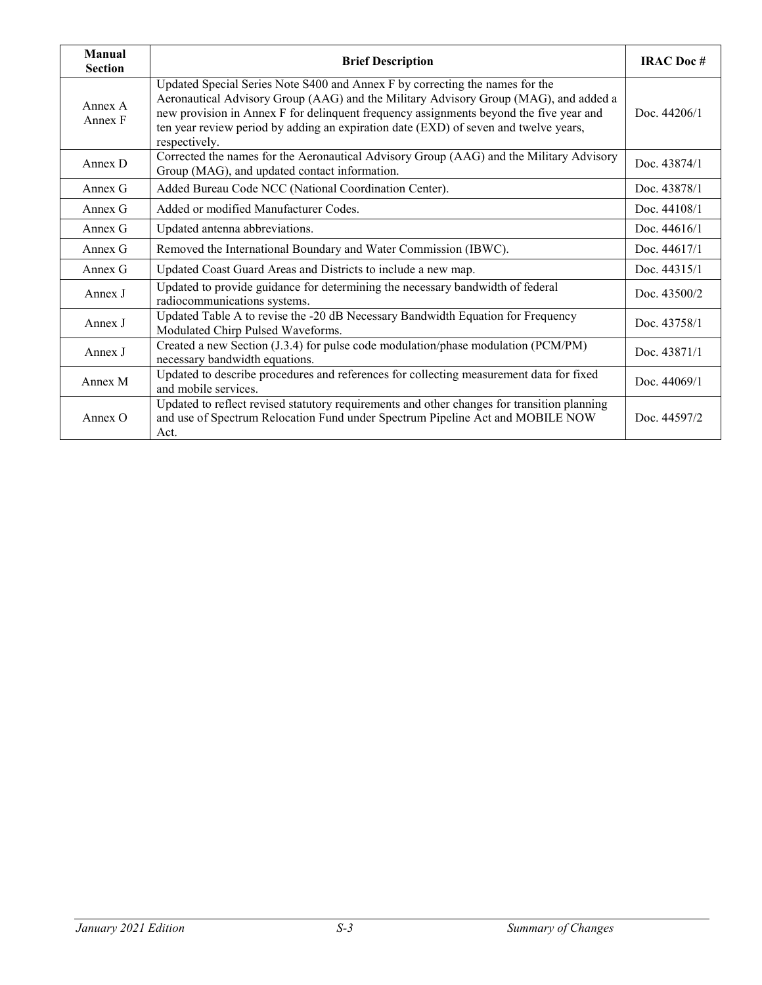| Manual<br><b>Section</b> | <b>Brief Description</b>                                                                                                                                                                                                                                                                                                                                                | <b>IRAC Doc#</b> |
|--------------------------|-------------------------------------------------------------------------------------------------------------------------------------------------------------------------------------------------------------------------------------------------------------------------------------------------------------------------------------------------------------------------|------------------|
| Annex A<br>Annex F       | Updated Special Series Note S400 and Annex F by correcting the names for the<br>Aeronautical Advisory Group (AAG) and the Military Advisory Group (MAG), and added a<br>new provision in Annex F for delinquent frequency assignments beyond the five year and<br>ten year review period by adding an expiration date (EXD) of seven and twelve years,<br>respectively. | Doc. $44206/1$   |
| Annex D                  | Corrected the names for the Aeronautical Advisory Group (AAG) and the Military Advisory<br>Group (MAG), and updated contact information.                                                                                                                                                                                                                                | Doc. 43874/1     |
| Annex G                  | Added Bureau Code NCC (National Coordination Center).                                                                                                                                                                                                                                                                                                                   | Doc. 43878/1     |
| Annex G                  | Added or modified Manufacturer Codes.                                                                                                                                                                                                                                                                                                                                   | Doc. 44108/1     |
| Annex G                  | Updated antenna abbreviations.                                                                                                                                                                                                                                                                                                                                          | Doc. $44616/1$   |
| Annex G                  | Removed the International Boundary and Water Commission (IBWC).                                                                                                                                                                                                                                                                                                         | Doc. 44617/1     |
| Annex G                  | Updated Coast Guard Areas and Districts to include a new map.                                                                                                                                                                                                                                                                                                           | Doc. 44315/1     |
| Annex J                  | Updated to provide guidance for determining the necessary bandwidth of federal<br>radiocommunications systems.                                                                                                                                                                                                                                                          | Doc. $43500/2$   |
| Annex J                  | Updated Table A to revise the -20 dB Necessary Bandwidth Equation for Frequency<br>Modulated Chirp Pulsed Waveforms.                                                                                                                                                                                                                                                    | Doc. 43758/1     |
| Annex J                  | Created a new Section (J.3.4) for pulse code modulation/phase modulation (PCM/PM)<br>necessary bandwidth equations.                                                                                                                                                                                                                                                     | Doc. 43871/1     |
| Annex M                  | Updated to describe procedures and references for collecting measurement data for fixed<br>and mobile services.                                                                                                                                                                                                                                                         | Doc. $44069/1$   |
| Annex $\Omega$           | Updated to reflect revised statutory requirements and other changes for transition planning<br>and use of Spectrum Relocation Fund under Spectrum Pipeline Act and MOBILE NOW<br>Act.                                                                                                                                                                                   | Doc. 44597/2     |